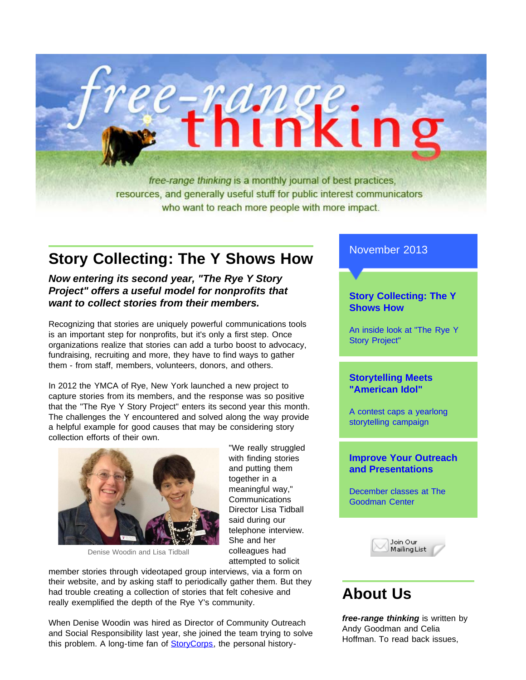<span id="page-0-1"></span>free-range thinking is a monthly journal of best practices. resources, and generally useful stuff for public interest communicators who want to reach more people with more impact.

ange.<br>11 nki n

## <span id="page-0-2"></span><span id="page-0-0"></span>**Story Collecting: The Y Shows How**

### *Now entering its second year, "The Rye Y Story Project" offers a useful model for nonprofits that want to collect stories from their members.*

Recognizing that stories are uniquely powerful communications tools is an important step for nonprofits, but it's only a first step. Once organizations realize that stories can add a turbo boost to advocacy, fundraising, recruiting and more, they have to find ways to gather them - from staff, members, volunteers, donors, and others.

In 2012 the YMCA of Rye, New York launched a new project to capture stories from its members, and the response was so positive that the "The Rye Y Story Project" enters its second year this month. The challenges the Y encountered and solved along the way provide a helpful example for good causes that may be considering story collection efforts of their own.



Denise Woodin and Lisa Tidball

"We really struggled with finding stories and putting them together in a meaningful way," **Communications** Director Lisa Tidball said during our telephone interview. She and her colleagues had attempted to solicit

member stories through videotaped group interviews, via a form on their website, and by asking staff to periodically gather them. But they had trouble creating a collection of stories that felt cohesive and really exemplified the depth of the Rye Y's community.

When Denise Woodin was hired as Director of Community Outreach and Social Responsibility last year, she joined the team trying to solve this problem. A long-time fan of **StoryCorps**, the personal history-

### November 2013

### **[Story Collecting: The Y](#page-0-0) [Shows How](#page-0-0)**

[An inside look at "The Rye Y](#page-0-1) [Story Project"](#page-0-1)

### **[Storytelling Meets](#page-2-0) ["American Idol"](#page-2-0)**

[A contest caps a yearlong](#page-0-1) [storytelling campaign](#page-0-1)

#### **[Improve Your Outreach](#page-2-1) [and Presentations](#page-2-1)**

[December classes at The](#page-0-1) [Goodman Center](#page-0-1)



# **About Us**

*free-range thinking* is written by Andy Goodman and Celia Hoffman. To read back issues,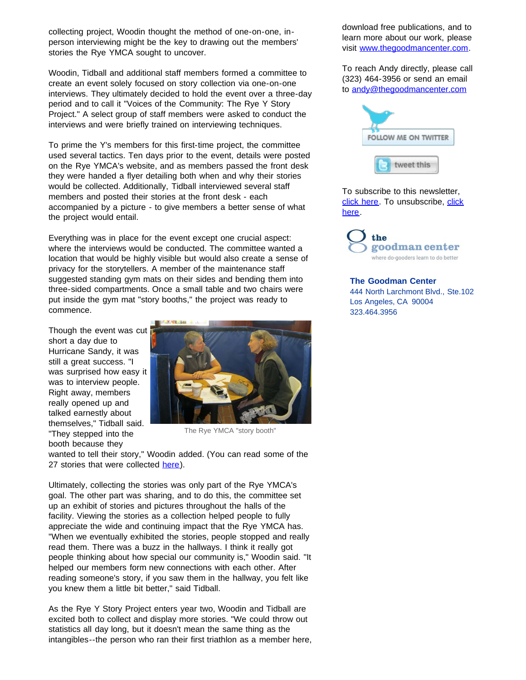collecting project, Woodin thought the method of one-on-one, inperson interviewing might be the key to drawing out the members' stories the Rye YMCA sought to uncover.

Woodin, Tidball and additional staff members formed a committee to create an event solely focused on story collection via one-on-one interviews. They ultimately decided to hold the event over a three-day period and to call it "Voices of the Community: The Rye Y Story Project." A select group of staff members were asked to conduct the interviews and were briefly trained on interviewing techniques.

To prime the Y's members for this first-time project, the committee used several tactics. Ten days prior to the event, details were posted on the Rye YMCA's website, and as members passed the front desk they were handed a flyer detailing both when and why their stories would be collected. Additionally, Tidball interviewed several staff members and posted their stories at the front desk - each accompanied by a picture - to give members a better sense of what the project would entail.

Everything was in place for the event except one crucial aspect: where the interviews would be conducted. The committee wanted a location that would be highly visible but would also create a sense of privacy for the storytellers. A member of the maintenance staff suggested standing gym mats on their sides and bending them into three-sided compartments. Once a small table and two chairs were put inside the gym mat "story booths," the project was ready to commence.

Though the event was cut short a day due to Hurricane Sandy, it was still a great success. "I was surprised how easy it was to interview people. Right away, members really opened up and talked earnestly about themselves," Tidball said. "They stepped into the booth because they



The Rye YMCA "story booth"

wanted to tell their story," Woodin added. (You can read some of the 27 stories that were collected [here](http://r20.rs6.net/tn.jsp?e=001WuZxpAwTB7-ziZjEV-60RcD2u3YONHQ3Bx74Zq9ql6IKOWgP3opT67IVKr5exvIw5aPlyGwwZp20Rl-us9bfHJV75nD_LfPz2QlrJ4BEMZPcKBZUCPJ-3B6dUIExNsnTj4I9X4d-x5pGwZeTX1-9ky7ljHpu_O-Xn-R5AL4kxXsw8wVpU_Ej7A==)).

Ultimately, collecting the stories was only part of the Rye YMCA's goal. The other part was sharing, and to do this, the committee set up an exhibit of stories and pictures throughout the halls of the facility. Viewing the stories as a collection helped people to fully appreciate the wide and continuing impact that the Rye YMCA has. "When we eventually exhibited the stories, people stopped and really read them. There was a buzz in the hallways. I think it really got people thinking about how special our community is," Woodin said. "It helped our members form new connections with each other. After reading someone's story, if you saw them in the hallway, you felt like you knew them a little bit better," said Tidball.

As the Rye Y Story Project enters year two, Woodin and Tidball are excited both to collect and display more stories. "We could throw out statistics all day long, but it doesn't mean the same thing as the intangibles--the person who ran their first triathlon as a member here,

download free publications, and to learn more about our work, please visit [www.thegoodmancenter.com.](http://r20.rs6.net/tn.jsp?e=001WuZxpAwTB7-ziZjEV-60RcD2u3YONHQ3Bx74Zq9ql6IKOWgP3opT67IVKr5exvIw5aPlyGwwZp29psjdjvBrY7XhOevh9APjVe2sqGrnBII24gxGsp3eLg==)

To reach Andy directly, please call (323) 464-3956 or send an email to [andy@thegoodmancenter.com](mailto:andy@thegoodmancenter.com)



To subscribe to this newsletter, [click here.](http://visitor.constantcontact.com/email.jsp?m=1102308246799&id=preview) To unsubscribe, [click](http://visitor.constantcontact.com/manage/optout/preferences?v=001dCD0S6IuBsbAEeMyDd4ChQHqtyAE5clfQ56yVqs5KYxadicEFONHNg%3D%3D&id=preview) [here.](http://visitor.constantcontact.com/manage/optout/preferences?v=001dCD0S6IuBsbAEeMyDd4ChQHqtyAE5clfQ56yVqs5KYxadicEFONHNg%3D%3D&id=preview)



#### **The Goodman Center**

444 North Larchmont Blvd., Ste.102 Los Angeles, CA 90004 323.464.3956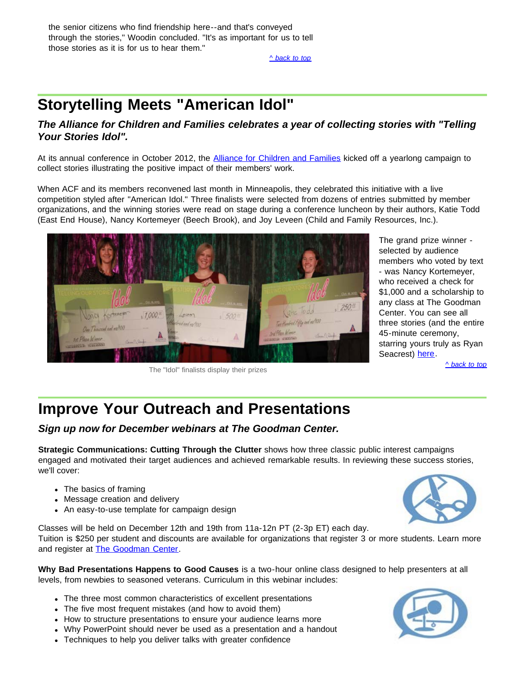*[^ back to top](#page-0-2)*

# <span id="page-2-0"></span>**Storytelling Meets "American Idol"**

## *The Alliance for Children and Families celebrates a year of collecting stories with "Telling Your Stories Idol".*

At its annual conference in October 2012, the [Alliance for Children and Families](http://r20.rs6.net/tn.jsp?e=001WuZxpAwTB7-ziZjEV-60RcD2u3YONHQ3Bx74Zq9ql6IKOWgP3opT67IVKr5exvIw5aPlyGwwZp1zbAk4_H2mMpNACQxu3Q6QAeRS4x-dIlE=) kicked off a yearlong campaign to collect stories illustrating the positive impact of their members' work.

When ACF and its members reconvened last month in Minneapolis, they celebrated this initiative with a live competition styled after "American Idol." Three finalists were selected from dozens of entries submitted by member organizations, and the winning stories were read on stage during a conference luncheon by their authors, Katie Todd (East End House), Nancy Kortemeyer (Beech Brook), and Joy Leveen (Child and Family Resources, Inc.).



The "Idol" finalists display their prizes

The grand prize winner selected by audience members who voted by text - was Nancy Kortemeyer, who received a check for \$1,000 and a scholarship to any class at The Goodman Center. You can see all three stories (and the entire 45-minute ceremony, starring yours truly as Ryan Seacrest) [here](http://r20.rs6.net/tn.jsp?e=001WuZxpAwTB7-ziZjEV-60RcD2u3YONHQ3Bx74Zq9ql6IKOWgP3opT67IVKr5exvIw5aPlyGwwZp0BeO9GxKfTOmSm-KtJu6_l5Wml6RUgxOMTC6I81HxPK3BqNhi656ramR_B5KJ2DaA=).

*[^ back to top](#page-0-2)*

# <span id="page-2-1"></span>**Improve Your Outreach and Presentations**

*Sign up now for December webinars at The Goodman Center.*

**Strategic Communications: Cutting Through the Clutter** shows how three classic public interest campaigns engaged and motivated their target audiences and achieved remarkable results. In reviewing these success stories, we'll cover:

- The basics of framing
- Message creation and delivery
- An easy-to-use template for campaign design

Classes will be held on December 12th and 19th from 11a-12n PT (2-3p ET) each day. Tuition is \$250 per student and discounts are available for organizations that register 3 or more students. Learn more and register at [The Goodman Center.](http://r20.rs6.net/tn.jsp?e=001WuZxpAwTB7-ziZjEV-60RcD2u3YONHQ3Bx74Zq9ql6IKOWgP3opT67IVKr5exvIw5aPlyGwwZp29psjdjvBrY7XhOevh9APjVe2sqGrnBIIhSpmBVRlE-6YnEkfzhbn-UkFep7BNos1AsOsjoPqQK7JnF23MglPj4ippEfaFxfbXX_nuH-ATdPW3PWOJ9-jrd6WvGIG5wWmUOhjzvjK-xw==)

**Why Bad Presentations Happens to Good Causes** is a two-hour online class designed to help presenters at all levels, from newbies to seasoned veterans. Curriculum in this webinar includes:

- The three most common characteristics of excellent presentations
- The five most frequent mistakes (and how to avoid them)
- How to structure presentations to ensure your audience learns more
- Why PowerPoint should never be used as a presentation and a handout
- Techniques to help you deliver talks with greater confidence